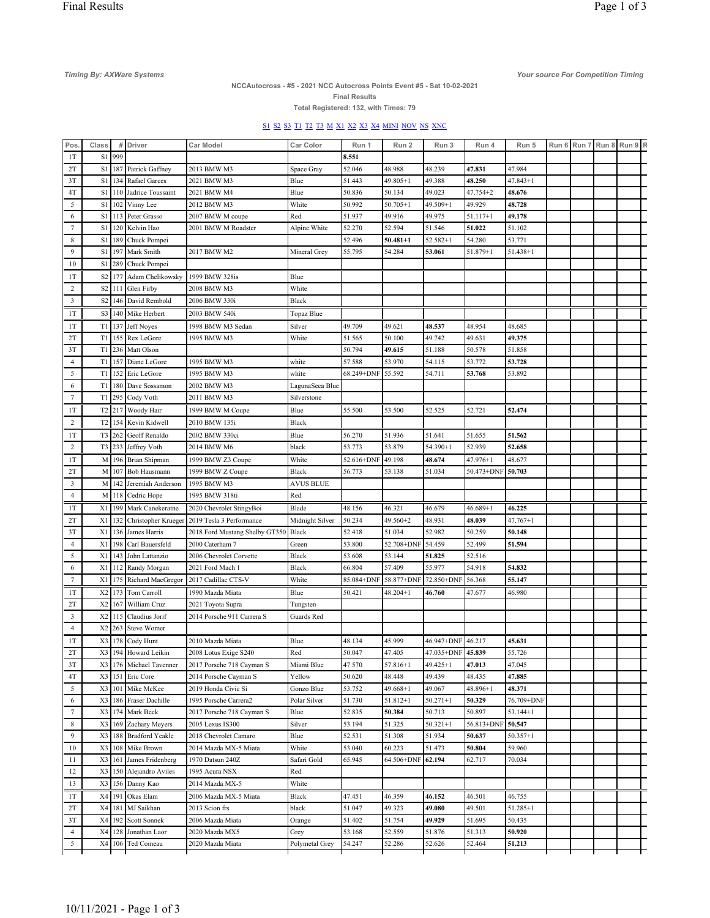Timing By: AXWare Systems Your source For Competition Timing

## NCCAutocross - #5 - 2021 NCC Autocross Points Event #5 - Sat 10-02-2021

Final Results Total Registered: 132, with Times: 79

S1 S2 S3 T1 T2 T3 M X1 X2 X3 X4 MINI NOV NS XNC

| Pos                  | Class          |        | # Driver                           | <b>Car Model</b>              | Car Color        | Run 1      | Run 2        | Run 3             | Run 4      | Run 5        |  | Run 6 Run 7 Run 8 Run 9 R |  |
|----------------------|----------------|--------|------------------------------------|-------------------------------|------------------|------------|--------------|-------------------|------------|--------------|--|---------------------------|--|
| 1T                   | S1             | 999    |                                    |                               |                  | 8.551      |              |                   |            |              |  |                           |  |
| 2T                   | S1             |        | 187 Patrick Gaffney                | 2013 BMW M3                   | Space Gray       | 52.046     | 48.988       | 48.239            | 47.831     | 47.984       |  |                           |  |
| 3T                   | S1             |        | 134 Rafael Garces                  | 2021 BMW M3                   | Blue             | 51.443     | 49.805+1     | 49.388            | 48.250     | $47.843 + 1$ |  |                           |  |
| 4T                   | S1             | 110    | Jadrice Toussaint                  | 2021 BMW M4                   | Blue             | 50.836     | 50.134       | 49.023            | 47.754+2   | 48.676       |  |                           |  |
| 5                    | S1             | 102    | Vinny Lee                          | 2012 BMW M3                   | White            | 50.992     | $50.705 + 1$ | 49.509+1          | 49.929     | 48.728       |  |                           |  |
| 6                    | S1             | 113    | Peter Grasso                       | 2007 BMW M coupe              | Red              | 51.937     | 49.916       | 49.975            | 51.117+1   | 49.178       |  |                           |  |
| 7                    | S1             | 120    | Kelvin Hao                         | 2001 BMW M Roadster           | Alpine White     | 52.270     | 52.594       | 51.546            | 51.022     | 51.102       |  |                           |  |
| $\,$ 8 $\,$          | S1             |        | 189 Chuck Pompei                   |                               |                  | 52.496     | $50.481 + 1$ | $52.582+1$        | 54.280     | 53.771       |  |                           |  |
| 9                    | S1             |        | 197 Mark Smith                     | 2017 BMW M2                   | Mineral Grey     | 55.795     | 54.284       | 53.061            | 51.879+1   | $51.438 + 1$ |  |                           |  |
| 10                   | S1             | 289    | Chuck Pompei                       |                               |                  |            |              |                   |            |              |  |                           |  |
|                      |                |        |                                    |                               |                  |            |              |                   |            |              |  |                           |  |
| 1T                   |                |        | S2 177 Adam Chelikowsky            | 1999 BMW 328is                | Blue             |            |              |                   |            |              |  |                           |  |
| 2                    |                |        | S2 111 Glen Firby                  | 2008 BMW M3                   | White            |            |              |                   |            |              |  |                           |  |
| 3                    | S <sub>2</sub> |        | 146 David Rembold                  | 2006 BMW 330i                 | Black            |            |              |                   |            |              |  |                           |  |
| 1T                   |                |        | S3 140 Mike Herbert                | 2003 BMW 540i                 | Topaz Blue       |            |              |                   |            |              |  |                           |  |
| 1T                   |                |        | $T1$   137 Jeff Noyes              | 1998 BMW M3 Sedan             | Silver           | 49.709     | 49.621       | 48.537            | 48.954     | 48.685       |  |                           |  |
| 2T                   | T1             | 155    | Rex LeGore                         | 1995 BMW M3                   | White            | 51.565     | 50.100       | 49.742            | 49.631     | 49.375       |  |                           |  |
| 3T                   | T1             | 236    | Matt Olson                         |                               |                  | 50.794     | 49.615       | 51.188            | 50.578     | 51.858       |  |                           |  |
| $\overline{4}$       |                |        | T1 157 Diane LeGore                | 1995 BMW M3                   | white            | 57.588     | 53.970       | 54.115            | 53.772     | 53.728       |  |                           |  |
| 5                    | T1             | 152    | Eric LeGore                        | 1995 BMW M3                   | white            | 68.249+DNF | 55.592       | 54.711            | 53.768     | 53.892       |  |                           |  |
| 6                    | T1             |        | 180 Dave Sossamon                  | 2002 BMW M3                   | LagunaSeca Blue  |            |              |                   |            |              |  |                           |  |
| $\tau$               | T1             |        | 295 Cody Voth                      | 2011 BMW M3                   | Silverstone      |            |              |                   |            |              |  |                           |  |
| 1T                   |                |        | T2 217 Woody Hair                  | 1999 BMW M Coupe              | Blue             | 55.500     | 53.500       | 52.525            | 52.721     | 52.474       |  |                           |  |
| 2                    | T2             |        | 154 Kevin Kidwell                  | 2010 BMW 135i                 | Black            |            |              |                   |            |              |  |                           |  |
| 1T                   |                |        | T <sub>3</sub> 262 Geoff Renaldo   | 2002 BMW 330ci                | Blue             | 56.270     | 51.936       | 51.641            | 51.655     | 51.562       |  |                           |  |
| $\overline{c}$       | T <sub>3</sub> |        | 233 Jeffrey Voth                   | 2014 BMW M6                   | black            | 53.773     | 53.879       | $54.390 + 1$      | 52.939     | 52.658       |  |                           |  |
|                      |                |        |                                    |                               |                  |            |              |                   |            |              |  |                           |  |
| 1T                   | М              |        | 196 Brian Shipman                  | 1999 BMW Z3 Coupe             | White            | 52.616+DNF | 49.198       | 48.674            | 47.976+1   | 48.677       |  |                           |  |
| 2T                   | M              |        | 107 Bob Hausmann                   | 1999 BMW Z Coupe              | Black            | 56.773     | 53.138       | 51.034            | 50.473+DNF | 50.703       |  |                           |  |
| 3                    | M              |        | 142 Jeremiah Anderson              | 1995 BMW M3                   | <b>AVUS BLUE</b> |            |              |                   |            |              |  |                           |  |
| $\overline{4}$       | M              |        | 118 Cedric Hope                    | 1995 BMW 318ti                | Red              |            |              |                   |            |              |  |                           |  |
| 1T                   |                |        | X1 199 Mark Canekeratne            | 2020 Chevrolet StingyBoi      | Blade            | 48.156     | 46.321       | 46.679            | $46.689+1$ | 46.225       |  |                           |  |
| 2T                   | X1             | 132    | Christopher Krueger                | 2019 Tesla 3 Performance      | Midnight Silver  | 50.234     | 49.560+2     | 48.931            | 48.039     | $47.767 + 1$ |  |                           |  |
| 3T                   | X1             | 136    | James Harris                       | 2018 Ford Mustang Shelby GT35 | Black            | 52.418     | 51.034       | 52.982            | 50.259     | 50.148       |  |                           |  |
| $\overline{4}$       | X1             | 198    | Carl Bauersfeld                    | 2000 Caterham 7               | Green            | 53.800     | 52.708+DNF   | 54.459            | 52.499     | 51.594       |  |                           |  |
| 5                    | X1             | 143    | John Lattanzio                     | 2006 Chevrolet Corvette       | Black            | 53.608     | 53.144       | 51.825            | 52.516     |              |  |                           |  |
| 6                    | X1             | 112    | Randy Morgan                       | 2021 Ford Mach 1              | Black            | 66.804     | 57.409       | 55.977            | 54.918     | 54.832       |  |                           |  |
| 7                    | X1             | 175    | Richard MacGregor                  | 2017 Cadillac CTS-V           | White            | 85.084+DNF | 58.877+DNF   | 72.850+DNF        | 56.368     | 55.147       |  |                           |  |
| 1T                   |                |        | $X2$ 173 Tom Carroll               | 1990 Mazda Miata              | Blue             | 50.421     | 48.204+1     | 46.760            | 47.677     | 46.980       |  |                           |  |
| 2T                   |                |        | X2 167 William Cruz                | 2021 Toyota Supra             | Tungsten         |            |              |                   |            |              |  |                           |  |
| 3                    | X2             | 115    | Claudius Jorif                     | 2014 Porsche 911 Carrera S    | Guards Red       |            |              |                   |            |              |  |                           |  |
| $\overline{4}$       | X <sub>2</sub> | 263    | <b>Steve Womer</b>                 |                               |                  |            |              |                   |            |              |  |                           |  |
| 1T                   | X3             |        | 178 Cody Hunt                      | 2010 Mazda Miata              | Blue             | 48.134     | 45.999       | 46.947+DNF 46.217 |            | 45.631       |  |                           |  |
| 2T                   |                |        | X3 194 Howard Leikin               | 2008 Lotus Exige S240         | Red              | 50.047     | 47.405       | 47.035+DNF 45.839 |            | 55.726       |  |                           |  |
| 3T                   |                |        | X3 176 Michael Tavenner            | 2017 Porsche 718 Cayman S     | Miami Blue       | 47.570     | 57.816+1     | 49.425+1          | 47.013     | 47.045       |  |                           |  |
|                      |                |        |                                    |                               |                  |            |              |                   |            |              |  |                           |  |
| 4T                   | X3             |        | 151 Eric Core<br>X3 101 Mike McKee | 2014 Porsche Cayman S         | Yellow           | 50.620     | 48.448       | 49.439            | 48.435     | 47.885       |  |                           |  |
| 5                    |                |        |                                    | 2019 Honda Civic Si           | Gonzo Blue       | 53.752     | $49.668 + 1$ | 49.067            | 48.896+1   | 48.371       |  |                           |  |
| 6                    |                |        | X3 186 Fraser Dachille             | 1995 Porsche Carrera2         | Polar Silver     | 51.730     | $51.812 + 1$ | $50.271 + 1$      | 50.329     | 76.709+DNF   |  |                           |  |
| $\tau$               | X3             |        | 174 Mark Beck                      | 2017 Porsche 718 Cayman S     | Blue             | 52.835     | 50.384       | 50.713            | 50.897     | $53.144 + 1$ |  |                           |  |
| 8                    |                |        | X3 169 Zachary Meyers              | 2005 Lexus IS300              | Silver           | 53.194     | 51.325       | $50.321 + 1$      | 56.813+DNF | 50.547       |  |                           |  |
| 9                    | X3             |        | 188 Bradford Yeakle                | 2018 Chevrolet Camaro         | Blue             | 52.531     | 51.308       | 51.934            | 50.637     | $50.357 + 1$ |  |                           |  |
| 10                   |                | X3 108 | Mike Brown                         | 2014 Mazda MX-5 Miata         | White            | 53.040     | 60.223       | 51.473            | 50.804     | 59.960       |  |                           |  |
| 11                   | X3             |        | 161 James Fridenberg               | 1970 Datsun 240Z              | Safari Gold      | 65.945     | 64.506+DNF   | 62.194            | 62.717     | 70.034       |  |                           |  |
| 12                   |                |        | X3 150 Alejandro Aviles            | 1995 Acura NSX                | Red              |            |              |                   |            |              |  |                           |  |
| 13                   |                |        | X3 156 Danny Kao                   | 2014 Mazda MX-5               | White            |            |              |                   |            |              |  |                           |  |
| 1T                   |                |        | X4 191 Okas Elam                   | 2006 Mazda MX-5 Miata         | Black            | 47.451     | 46.359       | 46.152            | 46.501     | 46.755       |  |                           |  |
| 2T                   | X4             |        | 181 MJ Saikhan                     | 2013 Scion frs                | black            | 51.047     | 49.323       | 49.080            | 49.501     | 51.285+1     |  |                           |  |
|                      |                | X4 192 | Scott Sonnek                       | 2006 Mazda Miata              | Orange           | 51.402     | 51.754       | 49.929            | 51.695     | 50.435       |  |                           |  |
|                      |                |        |                                    |                               |                  |            |              |                   |            |              |  |                           |  |
| 3T<br>$\overline{4}$ |                | X4 128 | Jonathan Laor                      | 2020 Mazda MX5                | Grey             | 53.168     | 52.559       | 51.876            | 51.313     | 50.920       |  |                           |  |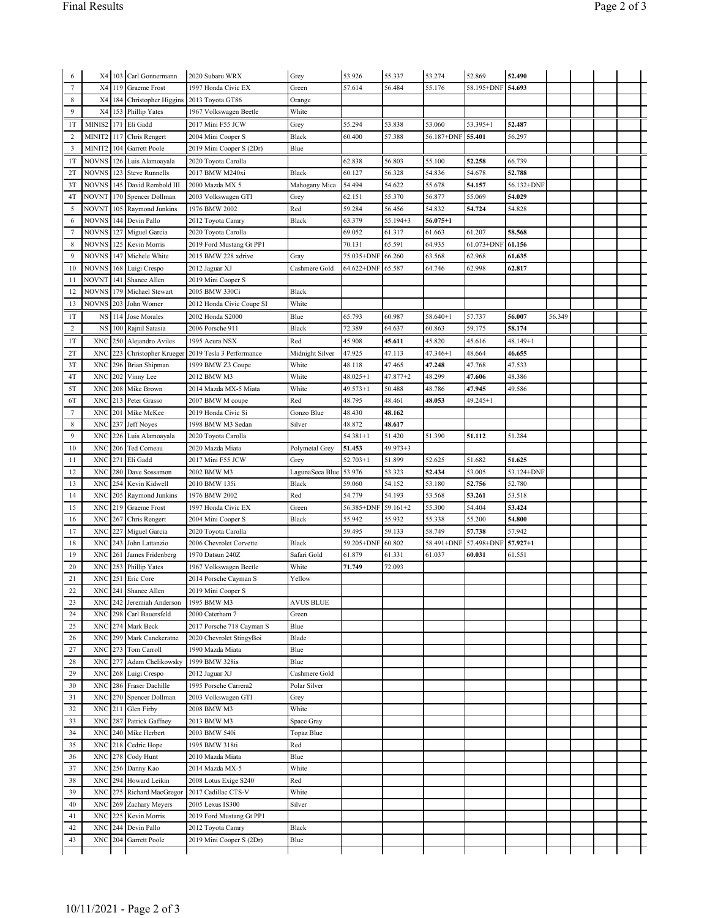| 6              |                           |     | X4 103 Carl Gonnermann         | 2020 Subaru WRX           | Grey             | 53.926       | 55.337       | 53.274       | 52.869     | 52.490       |        |  |  |
|----------------|---------------------------|-----|--------------------------------|---------------------------|------------------|--------------|--------------|--------------|------------|--------------|--------|--|--|
| $\tau$         | X4                        | 119 | <b>Graeme</b> Frost            | 1997 Honda Civic EX       | Green            | 57.614       | 56.484       | 55.176       | 58.195+DNF | 54.693       |        |  |  |
| 8              |                           |     | X4   184   Christopher Higgins | 2013 Toyota GT86          | Orange           |              |              |              |            |              |        |  |  |
| 9              | X4                        | 153 | Phillip Yates                  |                           | White            |              |              |              |            |              |        |  |  |
|                |                           |     |                                | 1967 Volkswagen Beetle    |                  |              |              |              |            |              |        |  |  |
| 1T             | MINIS2                    | 171 | Eli Gadd                       | 2017 Mini F55 JCW         | Grey             | 55.294       | 53.838       | 53.060       | 53.395+1   | 52.487       |        |  |  |
| 2              | MINIT2                    | 117 | Chris Rengert                  | 2004 Mini Cooper S        | Black            | 60.400       | 57.388       | 56.187+DNF   | 55.401     | 56.297       |        |  |  |
| 3              | MINIT2                    | 104 | Garrett Poole                  | 2019 Mini Cooper S (2Dr)  | Blue             |              |              |              |            |              |        |  |  |
| 1T             | NOVNS                     | 126 | Luis Alamoayala                | 2020 Toyota Carolla       |                  | 62.838       | 56.803       | 55.100       | 52.258     | 66.739       |        |  |  |
| 2T             | <b>NOVNS</b>              |     | <b>Steve Runnells</b>          |                           | Black            | 60.127       |              | 54.836       | 54.678     |              |        |  |  |
|                |                           | 123 |                                | 2017 BMW M240xi           |                  |              | 56.328       |              |            | 52.788       |        |  |  |
| 3T             | NOVNS                     | 145 | David Rembold III              | 2000 Mazda MX 5           | Mahogany Mica    | 54.494       | 54.622       | 55.678       | 54.157     | 56.132+DNF   |        |  |  |
| 4T             | NOVNT                     | 170 | Spencer Dollman                | 2003 Volkswagen GTI       | Grey             | 62.151       | 55.370       | 56.877       | 55.069     | 54.029       |        |  |  |
| 5              | <b>NOVNT</b>              | 105 | Raymond Junkins                | 1976 BMW 2002             | Red              | 59.284       | 56.456       | 54.832       | 54.724     | 54.828       |        |  |  |
| 6              | <b>NOVNS</b>              | 144 | Devin Pallo                    | 2012 Toyota Camry         | Black            | 63.379       | 55.194+3     | $56.075 + 1$ |            |              |        |  |  |
| $\tau$         | <b>NOVNS</b>              |     | 127 Miguel Garcia              | 2020 Toyota Carolla       |                  | 69.052       | 61.317       | 61.663       | 61.207     | 58.568       |        |  |  |
|                |                           |     |                                |                           |                  |              |              |              |            |              |        |  |  |
| 8              | <b>NOVNS</b>              | 125 | Kevin Morris                   | 2019 Ford Mustang Gt PP1  |                  | 70.131       | 65.591       | 64.935       | 61.073+DNF | 61.156       |        |  |  |
| 9              | <b>NOVNS</b>              | 147 | Michele White                  | 2015 BMW 228 xdrive       | Gray             | 75.035+DNF   | 66.260       | 63.568       | 62.968     | 61.635       |        |  |  |
| 10             | NOVNS                     | 168 | Luigi Crespo                   | 2012 Jaguar XJ            | Cashmere Gold    | 64.622+DNF   | 65.587       | 64.746       | 62.998     | 62.817       |        |  |  |
| 11             | NOVNT                     | 141 | Shanee Allen                   | 2019 Mini Cooper S        |                  |              |              |              |            |              |        |  |  |
| 12             | NOVNS                     | 179 | Michael Stewart                | 2005 BMW 330Ci            | Black            |              |              |              |            |              |        |  |  |
| 13             | NOVNS                     | 203 | John Womer                     | 2012 Honda Civic Coupe SI | White            |              |              |              |            |              |        |  |  |
|                |                           |     |                                |                           |                  |              |              |              |            |              |        |  |  |
| 1T             | NS                        | 114 | Jose Morales                   | 2002 Honda S2000          | Blue             | 65.793       | 60.987       | 58.640+1     | 57.737     | 56.007       | 56.349 |  |  |
| $\overline{c}$ | NS                        | 100 | Rajnil Satasia                 | 2006 Porsche 911          | Black            | 72.389       | 64.637       | 60.863       | 59.175     | 58.174       |        |  |  |
| 1T             | XNC                       | 250 | Alejandro Aviles               | 1995 Acura NSX            | Red              | 45.908       | 45.611       | 45.820       | 45.616     | $48.149 + 1$ |        |  |  |
| 2T             | XNC                       | 223 | Christopher Krueger            | 2019 Tesla 3 Performance  | Midnight Silver  | 47.925       | 47.113       | $47.346 + 1$ | 48.664     | 46.655       |        |  |  |
|                |                           |     |                                |                           |                  |              |              |              |            |              |        |  |  |
| 3T             | XNC                       | 296 | Brian Shipman                  | 1999 BMW Z3 Coupe         | White            | 48.118       | 47.465       | 47.248       | 47.768     | 47.533       |        |  |  |
| 4T             | XNC                       | 202 | Vinny Lee                      | 2012 BMW M3               | White            | $48.025 + 1$ | 47.877+2     | 48.299       | 47.606     | 48.386       |        |  |  |
| 5T             | XNC                       | 208 | Mike Brown                     | 2014 Mazda MX-5 Miata     | White            | $49.573 + 1$ | 50.488       | 48.786       | 47.945     | 49.586       |        |  |  |
| 6T             | XNC                       | 213 | Peter Grasso                   | 2007 BMW M coupe          | Red              | 48.795       | 48.461       | 48.053       | 49.245+1   |              |        |  |  |
| $\tau$         | XNC                       | 201 | Mike McKee                     | 2019 Honda Civic Si       | Gonzo Blue       | 48.430       | 48.162       |              |            |              |        |  |  |
| 8              | XNC                       | 237 | Jeff Noyes                     | 1998 BMW M3 Sedan         | Silver           | 48.872       | 48.617       |              |            |              |        |  |  |
|                |                           |     |                                |                           |                  |              |              |              |            |              |        |  |  |
| 9              | XNC                       | 226 | Luis Alamoayala                | 2020 Toyota Carolla       |                  | $54.381 + 1$ | 51.420       | 51.390       | 51.112     | 51.284       |        |  |  |
| 10             | XNC                       |     | 206 Ted Comeau                 | 2020 Mazda Miata          | Polymetal Grey   | 51.453       | $49.973 + 3$ |              |            |              |        |  |  |
| 11             | XNC                       | 27  | Eli Gadd                       | 2017 Mini F55 JCW         | Grey             | $52.703 + 1$ | 51.899       | 52.625       | 51.682     | 51.625       |        |  |  |
| 12             | <b>XNC</b>                | 280 | Dave Sossamon                  | 2002 BMW M3               | LagunaSeca Blue  | 53.976       | 53.323       | 52.434       | 53.005     | 53.124+DNF   |        |  |  |
| 13             | XNC                       | 254 | Kevin Kidwell                  | 2010 BMW 135i             | Black            | 59.060       | 54.152       | 53.180       | 52.756     | 52.780       |        |  |  |
|                |                           |     |                                |                           |                  |              |              |              |            |              |        |  |  |
| 14             | XNC                       | 205 | Raymond Junkins                | 1976 BMW 2002             | Red              | 54.779       | 54.193       | 53.568       | 53.261     | 53.518       |        |  |  |
| 15             | XNC                       | 219 | Graeme Frost                   | 1997 Honda Civic EX       | Green            | 56.385+DNF   | $59.161 + 2$ | 55.300       | 54.404     | 53.424       |        |  |  |
| 16             | XNC                       | 267 | Chris Rengert                  | 2004 Mini Cooper S        | Black            | 55.942       | 55.932       | 55.338       | 55.200     | 54.800       |        |  |  |
| 17             | XNC                       | 227 | Miguel Garcia                  | 2020 Toyota Carolla       |                  | 59.495       | 59.133       | 58.749       | 57.738     | 57.942       |        |  |  |
| 18             | <b>XNC</b>                | 24. | John Lattanzio                 | 2006 Chevrolet Corvette   | Black            | 59.205+DNF   | 60.802       | 58.491+DNF   | 57.498+DNF | $57.927 + 1$ |        |  |  |
| 19             | XNC                       | 261 | James Fridenberg               | 1970 Datsun 240Z          | Safari Gold      | 61.879       | 61.331       | 61.037       | 60.031     | 61.551       |        |  |  |
|                |                           |     |                                |                           |                  |              |              |              |            |              |        |  |  |
| 20             | XNC                       | 253 | Phillip Yates                  | 1967 Volkswagen Beetle    | White            | 71.749       | 72.093       |              |            |              |        |  |  |
| 21             | XNC                       | 251 | Eric Core                      | 2014 Porsche Cayman S     | Yellow           |              |              |              |            |              |        |  |  |
| 22             |                           |     | XNC 241 Shanee Allen           | 2019 Mini Cooper S        |                  |              |              |              |            |              |        |  |  |
| 23             | <b>XNC</b>                | 242 | Jeremiah Anderson              | 1995 BMW M3               | <b>AVUS BLUE</b> |              |              |              |            |              |        |  |  |
| 24             | XNC 298                   |     | Carl Bauersfeld                | 2000 Caterham 7           | Green            |              |              |              |            |              |        |  |  |
| 25             | <b>XNC</b>                |     | 274 Mark Beck                  | 2017 Porsche 718 Cayman S | Blue             |              |              |              |            |              |        |  |  |
|                |                           |     |                                |                           |                  |              |              |              |            |              |        |  |  |
| 26             | <b>XNC</b>                | 299 | Mark Canekeratne               | 2020 Chevrolet StingyBoi  | Blade            |              |              |              |            |              |        |  |  |
| 27             | <b>XNC</b>                | 273 | Tom Carroll                    | 1990 Mazda Miata          | Blue             |              |              |              |            |              |        |  |  |
| 28             | <b>XNC</b>                | 277 | Adam Chelikowsky               | 1999 BMW 328is            | Blue             |              |              |              |            |              |        |  |  |
| 29             | <b>XNC</b>                |     | 268 Luigi Crespo               | 2012 Jaguar XJ            | Cashmere Gold    |              |              |              |            |              |        |  |  |
| 30             | <b>XNC</b>                | 286 | Fraser Dachille                | 1995 Porsche Carrera2     | Polar Silver     |              |              |              |            |              |        |  |  |
| 31             | $\ensuremath{\text{XNC}}$ | 270 |                                |                           |                  |              |              |              |            |              |        |  |  |
|                |                           |     | Spencer Dollman                | 2003 Volkswagen GTI       | Grey             |              |              |              |            |              |        |  |  |
| 32             | <b>XNC</b>                | 211 | Glen Firby                     | 2008 BMW M3               | White            |              |              |              |            |              |        |  |  |
| 33             | <b>XNC</b>                | 287 | Patrick Gaffney                | 2013 BMW M3               | Space Gray       |              |              |              |            |              |        |  |  |
| 34             | <b>XNC</b>                |     | 240 Mike Herbert               | 2003 BMW 540i             | Topaz Blue       |              |              |              |            |              |        |  |  |
| 35             | <b>XNC</b>                |     | 218 Cedric Hope                | 1995 BMW 318ti            | Red              |              |              |              |            |              |        |  |  |
|                |                           |     |                                |                           | Blue             |              |              |              |            |              |        |  |  |
| 36             | <b>XNC</b>                |     | 278 Cody Hunt                  | 2010 Mazda Miata          |                  |              |              |              |            |              |        |  |  |
| 37             | <b>XNC</b>                |     | 256 Danny Kao                  | 2014 Mazda MX-5           | White            |              |              |              |            |              |        |  |  |
| 38             | <b>XNC</b>                | 294 | Howard Leikin                  | 2008 Lotus Exige S240     | Red              |              |              |              |            |              |        |  |  |
| 39             | <b>XNC</b>                | 275 | Richard MacGregor              | 2017 Cadillac CTS-V       | White            |              |              |              |            |              |        |  |  |
| 40             | XNC                       | 269 | Zachary Meyers                 | 2005 Lexus IS300          | Silver           |              |              |              |            |              |        |  |  |
| 41             | <b>XNC</b>                | 225 | Kevin Morris                   | 2019 Ford Mustang Gt PP1  |                  |              |              |              |            |              |        |  |  |
|                |                           |     |                                |                           |                  |              |              |              |            |              |        |  |  |
| 42             | XNC                       | 244 | Devin Pallo                    | 2012 Toyota Camry         | Black            |              |              |              |            |              |        |  |  |
| 43             | XNC                       | 204 | Garrett Poole                  | 2019 Mini Cooper S (2Dr)  | Blue             |              |              |              |            |              |        |  |  |
|                |                           |     |                                |                           |                  |              |              |              |            |              |        |  |  |